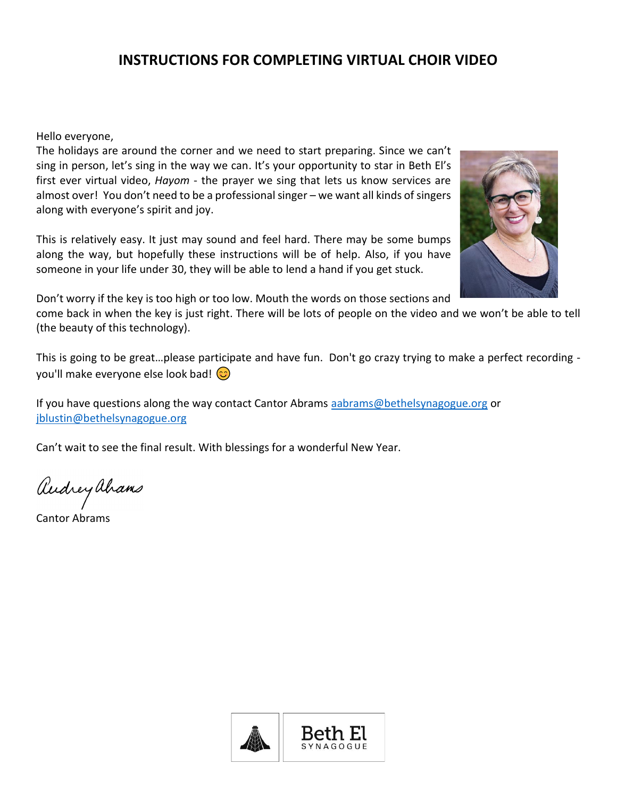# **INSTRUCTIONS FOR COMPLETING VIRTUAL CHOIR VIDEO**

Hello everyone,

The holidays are around the corner and we need to start preparing. Since we can't sing in person, let's sing in the way we can. It's your opportunity to star in Beth El's first ever virtual video, *Hayom* - the prayer we sing that lets us know services are almost over! You don't need to be a professional singer – we want all kinds of singers along with everyone's spirit and joy.

This is relatively easy. It just may sound and feel hard. There may be some bumps along the way, but hopefully these instructions will be of help. Also, if you have someone in your life under 30, they will be able to lend a hand if you get stuck.



Don't worry if the key is too high or too low. Mouth the words on those sections and

come back in when the key is just right. There will be lots of people on the video and we won't be able to tell (the beauty of this technology).

This is going to be great…please participate and have fun. Don't go crazy trying to make a perfect recording you'll make everyone else look bad!  $\circled{c}$ 

If you have questions along the way contact Cantor Abrams [aabrams@bethelsynagogue.org](mailto:aabrams@bethelsynagogue.org) or [jblustin@bethelsynagogue.org](mailto:jblustin@bethelsynagogue.org)

Can't wait to see the final result. With blessings for a wonderful New Year.

audrey ahams

Cantor Abrams

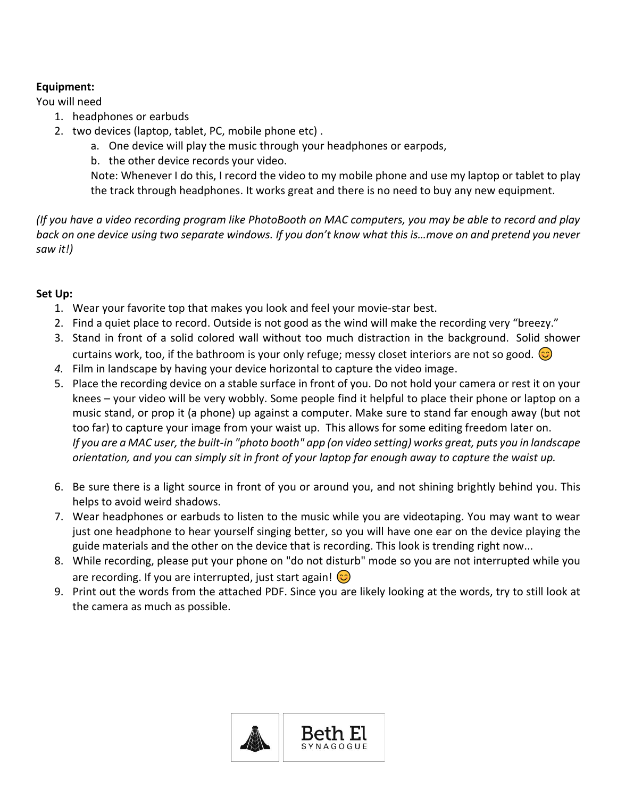### **Equipment:**

You will need

- 1. headphones or earbuds
- 2. two devices (laptop, tablet, PC, mobile phone etc) .
	- a. One device will play the music through your headphones or earpods,
	- b. the other device records your video.

Note: Whenever I do this, I record the video to my mobile phone and use my laptop or tablet to play the track through headphones. It works great and there is no need to buy any new equipment.

*(If you have a video recording program like PhotoBooth on MAC computers, you may be able to record and play back on one device using two separate windows. If you don't know what this is…move on and pretend you never saw it!)*

## **Set Up:**

- 1. Wear your favorite top that makes you look and feel your movie-star best.
- 2. Find a quiet place to record. Outside is not good as the wind will make the recording very "breezy."
- 3. Stand in front of a solid colored wall without too much distraction in the background. Solid shower curtains work, too, if the bathroom is your only refuge; messy closet interiors are not so good.  $\circled{c}$
- *4.* Film in landscape by having your device horizontal to capture the video image.
- 5. Place the recording device on a stable surface in front of you. Do not hold your camera or rest it on your knees – your video will be very wobbly. Some people find it helpful to place their phone or laptop on a music stand, or prop it (a phone) up against a computer. Make sure to stand far enough away (but not too far) to capture your image from your waist up. This allows for some editing freedom later on. *If you are a MAC user, the built-in "photo booth" app (on video setting) works great, puts you in landscape orientation, and you can simply sit in front of your laptop far enough away to capture the waist up.*
- 6. Be sure there is a light source in front of you or around you, and not shining brightly behind you. This helps to avoid weird shadows.
- 7. Wear headphones or earbuds to listen to the music while you are videotaping. You may want to wear just one headphone to hear yourself singing better, so you will have one ear on the device playing the guide materials and the other on the device that is recording. This look is trending right now...
- 8. While recording, please put your phone on "do not disturb" mode so you are not interrupted while you are recording. If you are interrupted, just start again!  $\circled{c}$
- 9. Print out the words from the attached PDF. Since you are likely looking at the words, try to still look at the camera as much as possible.